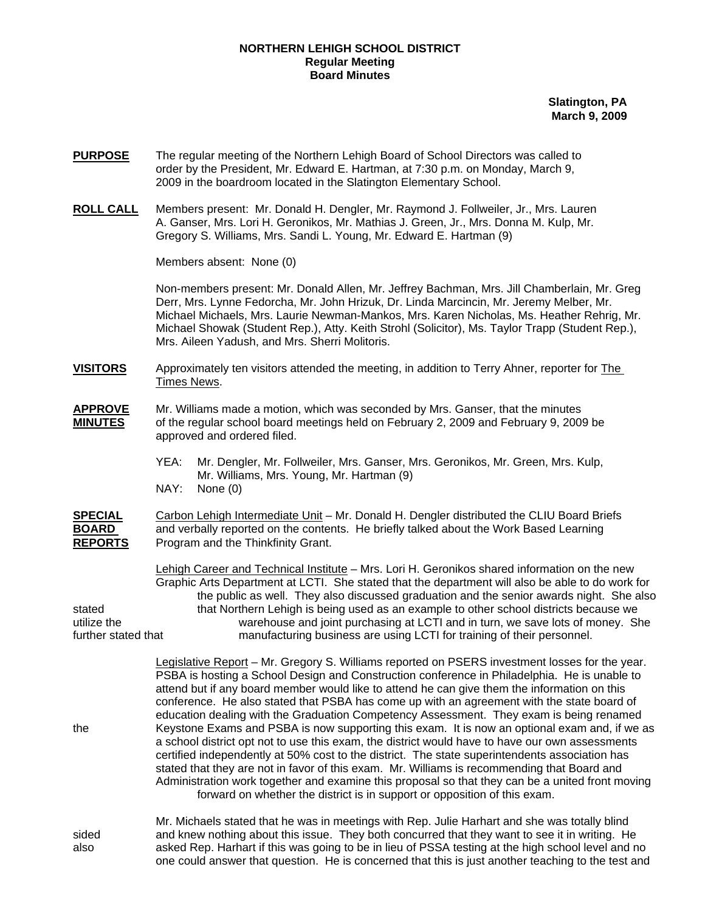## **NORTHERN LEHIGH SCHOOL DISTRICT Regular Meeting Board Minutes**

**Slatington, PA March 9, 2009**

- **PURPOSE** The regular meeting of the Northern Lehigh Board of School Directors was called to order by the President, Mr. Edward E. Hartman, at 7:30 p.m. on Monday, March 9, 2009 in the boardroom located in the Slatington Elementary School.
- **ROLL CALL** Members present: Mr. Donald H. Dengler, Mr. Raymond J. Follweiler, Jr., Mrs. Lauren A. Ganser, Mrs. Lori H. Geronikos, Mr. Mathias J. Green, Jr., Mrs. Donna M. Kulp, Mr. Gregory S. Williams, Mrs. Sandi L. Young, Mr. Edward E. Hartman (9)

Members absent: None (0)

Non-members present: Mr. Donald Allen, Mr. Jeffrey Bachman, Mrs. Jill Chamberlain, Mr. Greg Derr, Mrs. Lynne Fedorcha, Mr. John Hrizuk, Dr. Linda Marcincin, Mr. Jeremy Melber, Mr. Michael Michaels, Mrs. Laurie Newman-Mankos, Mrs. Karen Nicholas, Ms. Heather Rehrig, Mr. Michael Showak (Student Rep.), Atty. Keith Strohl (Solicitor), Ms. Taylor Trapp (Student Rep.), Mrs. Aileen Yadush, and Mrs. Sherri Molitoris.

**VISITORS** Approximately ten visitors attended the meeting, in addition to Terry Ahner, reporter for The Times News.

- **APPROVE** Mr. Williams made a motion, which was seconded by Mrs. Ganser, that the minutes **MINUTES** of the regular school board meetings held on February 2, 2009 and February 9, 2009 be approved and ordered filed.
	- YEA: Mr. Dengler, Mr. Follweiler, Mrs. Ganser, Mrs. Geronikos, Mr. Green, Mrs. Kulp, Mr. Williams, Mrs. Young, Mr. Hartman (9) NAY: None (0)

**SPECIAL** Carbon Lehigh Intermediate Unit – Mr. Donald H. Dengler distributed the CLIU Board Briefs **BOARD** and verbally reported on the contents. He briefly talked about the Work Based Learning **REPORTS** Program and the Thinkfinity Grant.

 Lehigh Career and Technical Institute – Mrs. Lori H. Geronikos shared information on the new Graphic Arts Department at LCTI. She stated that the department will also be able to do work for the public as well. They also discussed graduation and the senior awards night. She also stated that Northern Lehigh is being used as an example to other school districts because we utilize the warehouse and joint purchasing at LCTI and in turn, we save lots of money. She further stated that manufacturing business are using LCTI for training of their personnel.

 Legislative Report – Mr. Gregory S. Williams reported on PSERS investment losses for the year. PSBA is hosting a School Design and Construction conference in Philadelphia. He is unable to attend but if any board member would like to attend he can give them the information on this conference. He also stated that PSBA has come up with an agreement with the state board of education dealing with the Graduation Competency Assessment. They exam is being renamed the Keystone Exams and PSBA is now supporting this exam. It is now an optional exam and, if we as a school district opt not to use this exam, the district would have to have our own assessments certified independently at 50% cost to the district. The state superintendents association has stated that they are not in favor of this exam. Mr. Williams is recommending that Board and Administration work together and examine this proposal so that they can be a united front moving forward on whether the district is in support or opposition of this exam.

 Mr. Michaels stated that he was in meetings with Rep. Julie Harhart and she was totally blind sided and knew nothing about this issue. They both concurred that they want to see it in writing. He also asked Rep. Harhart if this was going to be in lieu of PSSA testing at the high school level and no one could answer that question. He is concerned that this is just another teaching to the test and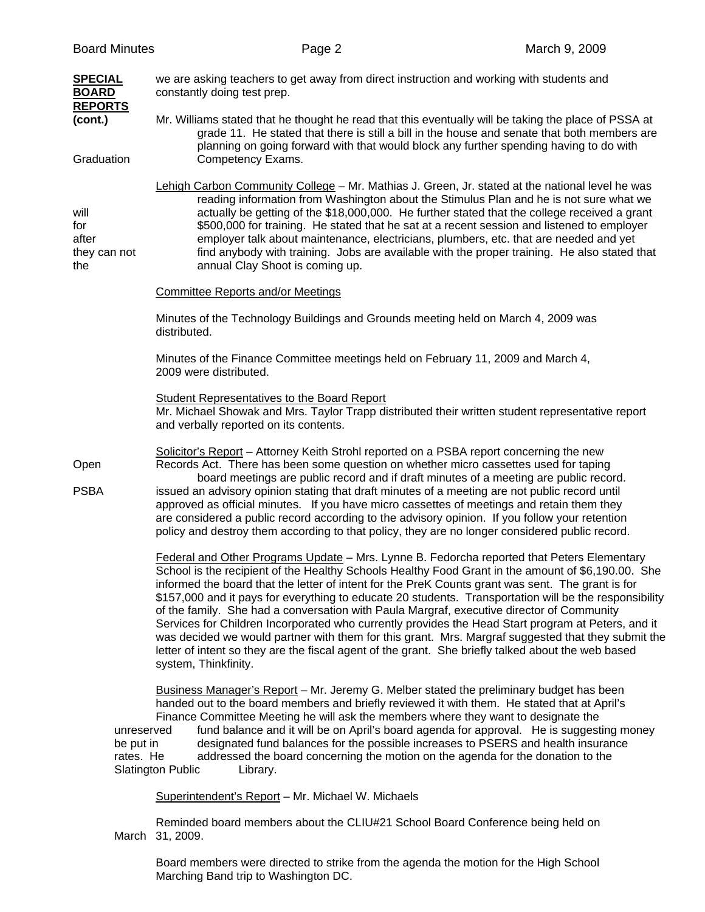| <b>Board Minutes</b>                             | Page 2                                                                                                                                                                                                                                                                                                                                                                                                                                                                                                                                                                                                                                                                                                                                                                                                                                                 | March 9, 2009                                                                                                                                                                                                                                                                                                                                                                        |  |
|--------------------------------------------------|--------------------------------------------------------------------------------------------------------------------------------------------------------------------------------------------------------------------------------------------------------------------------------------------------------------------------------------------------------------------------------------------------------------------------------------------------------------------------------------------------------------------------------------------------------------------------------------------------------------------------------------------------------------------------------------------------------------------------------------------------------------------------------------------------------------------------------------------------------|--------------------------------------------------------------------------------------------------------------------------------------------------------------------------------------------------------------------------------------------------------------------------------------------------------------------------------------------------------------------------------------|--|
| <b>SPECIAL</b><br><b>BOARD</b><br><b>REPORTS</b> | we are asking teachers to get away from direct instruction and working with students and<br>constantly doing test prep.                                                                                                                                                                                                                                                                                                                                                                                                                                                                                                                                                                                                                                                                                                                                |                                                                                                                                                                                                                                                                                                                                                                                      |  |
| (cont.)                                          | Mr. Williams stated that he thought he read that this eventually will be taking the place of PSSA at<br>grade 11. He stated that there is still a bill in the house and senate that both members are<br>planning on going forward with that would block any further spending having to do with                                                                                                                                                                                                                                                                                                                                                                                                                                                                                                                                                         |                                                                                                                                                                                                                                                                                                                                                                                      |  |
| Graduation                                       | Competency Exams.                                                                                                                                                                                                                                                                                                                                                                                                                                                                                                                                                                                                                                                                                                                                                                                                                                      |                                                                                                                                                                                                                                                                                                                                                                                      |  |
| will<br>for<br>after<br>they can not<br>the      | Lehigh Carbon Community College - Mr. Mathias J. Green, Jr. stated at the national level he was<br>employer talk about maintenance, electricians, plumbers, etc. that are needed and yet<br>annual Clay Shoot is coming up.                                                                                                                                                                                                                                                                                                                                                                                                                                                                                                                                                                                                                            | reading information from Washington about the Stimulus Plan and he is not sure what we<br>actually be getting of the \$18,000,000. He further stated that the college received a grant<br>\$500,000 for training. He stated that he sat at a recent session and listened to employer<br>find anybody with training. Jobs are available with the proper training. He also stated that |  |
|                                                  | <b>Committee Reports and/or Meetings</b>                                                                                                                                                                                                                                                                                                                                                                                                                                                                                                                                                                                                                                                                                                                                                                                                               |                                                                                                                                                                                                                                                                                                                                                                                      |  |
|                                                  | Minutes of the Technology Buildings and Grounds meeting held on March 4, 2009 was<br>distributed.                                                                                                                                                                                                                                                                                                                                                                                                                                                                                                                                                                                                                                                                                                                                                      |                                                                                                                                                                                                                                                                                                                                                                                      |  |
|                                                  | Minutes of the Finance Committee meetings held on February 11, 2009 and March 4,<br>2009 were distributed.                                                                                                                                                                                                                                                                                                                                                                                                                                                                                                                                                                                                                                                                                                                                             |                                                                                                                                                                                                                                                                                                                                                                                      |  |
|                                                  | <b>Student Representatives to the Board Report</b><br>Mr. Michael Showak and Mrs. Taylor Trapp distributed their written student representative report<br>and verbally reported on its contents.                                                                                                                                                                                                                                                                                                                                                                                                                                                                                                                                                                                                                                                       |                                                                                                                                                                                                                                                                                                                                                                                      |  |
| Open                                             | Solicitor's Report - Attorney Keith Strohl reported on a PSBA report concerning the new<br>Records Act. There has been some question on whether micro cassettes used for taping<br>board meetings are public record and if draft minutes of a meeting are public record.                                                                                                                                                                                                                                                                                                                                                                                                                                                                                                                                                                               |                                                                                                                                                                                                                                                                                                                                                                                      |  |
| <b>PSBA</b>                                      | issued an advisory opinion stating that draft minutes of a meeting are not public record until<br>approved as official minutes. If you have micro cassettes of meetings and retain them they<br>are considered a public record according to the advisory opinion. If you follow your retention<br>policy and destroy them according to that policy, they are no longer considered public record.                                                                                                                                                                                                                                                                                                                                                                                                                                                       |                                                                                                                                                                                                                                                                                                                                                                                      |  |
| unreserved<br>be put in<br>rates. He             | Federal and Other Programs Update - Mrs. Lynne B. Fedorcha reported that Peters Elementary<br>School is the recipient of the Healthy Schools Healthy Food Grant in the amount of \$6,190.00. She<br>informed the board that the letter of intent for the PreK Counts grant was sent. The grant is for<br>\$157,000 and it pays for everything to educate 20 students. Transportation will be the responsibility<br>of the family. She had a conversation with Paula Margraf, executive director of Community<br>Services for Children Incorporated who currently provides the Head Start program at Peters, and it<br>was decided we would partner with them for this grant. Mrs. Margraf suggested that they submit the<br>letter of intent so they are the fiscal agent of the grant. She briefly talked about the web based<br>system, Thinkfinity. |                                                                                                                                                                                                                                                                                                                                                                                      |  |
|                                                  | Business Manager's Report - Mr. Jeremy G. Melber stated the preliminary budget has been<br>handed out to the board members and briefly reviewed it with them. He stated that at April's<br>Finance Committee Meeting he will ask the members where they want to designate the<br>designated fund balances for the possible increases to PSERS and health insurance<br>addressed the board concerning the motion on the agenda for the donation to the<br><b>Slatington Public</b><br>Library.                                                                                                                                                                                                                                                                                                                                                          | fund balance and it will be on April's board agenda for approval. He is suggesting money                                                                                                                                                                                                                                                                                             |  |
|                                                  | Superintendent's Report - Mr. Michael W. Michaels                                                                                                                                                                                                                                                                                                                                                                                                                                                                                                                                                                                                                                                                                                                                                                                                      |                                                                                                                                                                                                                                                                                                                                                                                      |  |

Reminded board members about the CLIU#21 School Board Conference being held on March 31, 2009.

Board members were directed to strike from the agenda the motion for the High School Marching Band trip to Washington DC.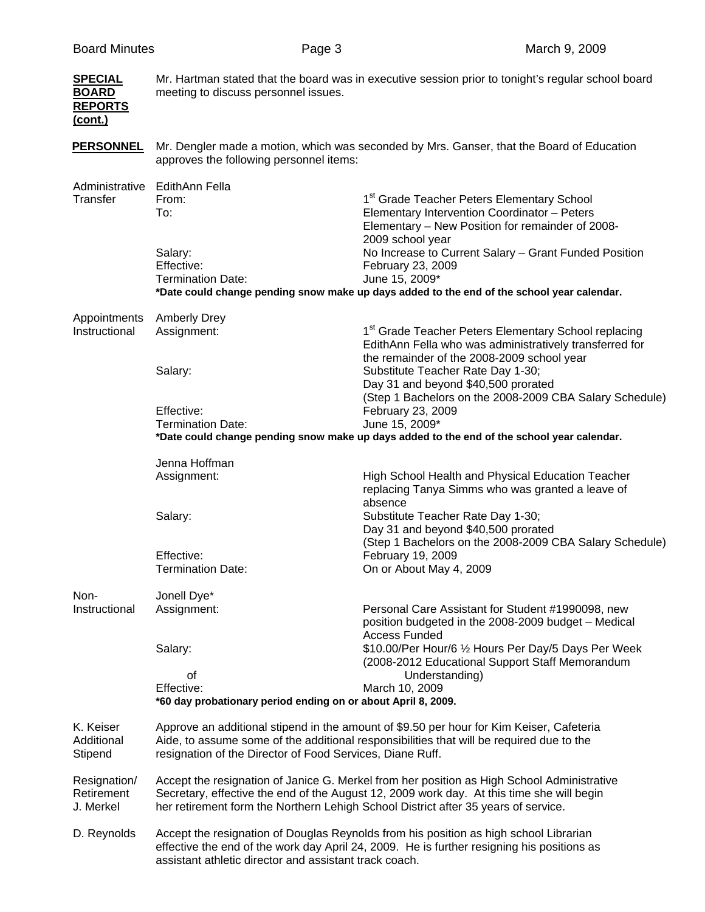| <b>SPECIAL</b><br><b>BOARD</b><br><b>REPORTS</b><br>(cont.) | Mr. Hartman stated that the board was in executive session prior to tonight's regular school board<br>meeting to discuss personnel issues.                                                                                                                                    |                                                                                                                                                                                     |
|-------------------------------------------------------------|-------------------------------------------------------------------------------------------------------------------------------------------------------------------------------------------------------------------------------------------------------------------------------|-------------------------------------------------------------------------------------------------------------------------------------------------------------------------------------|
| <b>PERSONNEL</b>                                            | approves the following personnel items:                                                                                                                                                                                                                                       | Mr. Dengler made a motion, which was seconded by Mrs. Ganser, that the Board of Education                                                                                           |
| Administrative<br>Transfer                                  | EdithAnn Fella<br>From:<br>To:                                                                                                                                                                                                                                                | 1 <sup>st</sup> Grade Teacher Peters Elementary School<br>Elementary Intervention Coordinator - Peters<br>Elementary - New Position for remainder of 2008-<br>2009 school year      |
|                                                             | Salary:<br>Effective:<br><b>Termination Date:</b>                                                                                                                                                                                                                             | No Increase to Current Salary - Grant Funded Position<br>February 23, 2009<br>June 15, 2009*                                                                                        |
|                                                             |                                                                                                                                                                                                                                                                               | *Date could change pending snow make up days added to the end of the school year calendar.                                                                                          |
| Appointments<br>Instructional                               | <b>Amberly Drey</b><br>Assignment:                                                                                                                                                                                                                                            | 1 <sup>st</sup> Grade Teacher Peters Elementary School replacing<br>EdithAnn Fella who was administratively transferred for<br>the remainder of the 2008-2009 school year           |
|                                                             | Salary:                                                                                                                                                                                                                                                                       | Substitute Teacher Rate Day 1-30;<br>Day 31 and beyond \$40,500 prorated<br>(Step 1 Bachelors on the 2008-2009 CBA Salary Schedule)                                                 |
|                                                             | Effective:<br><b>Termination Date:</b>                                                                                                                                                                                                                                        | February 23, 2009<br>June 15, 2009*<br>*Date could change pending snow make up days added to the end of the school year calendar.                                                   |
|                                                             | Jenna Hoffman                                                                                                                                                                                                                                                                 |                                                                                                                                                                                     |
|                                                             | Assignment:<br>Salary:                                                                                                                                                                                                                                                        | High School Health and Physical Education Teacher<br>replacing Tanya Simms who was granted a leave of<br>absence<br>Substitute Teacher Rate Day 1-30;                               |
|                                                             | Effective:                                                                                                                                                                                                                                                                    | Day 31 and beyond \$40,500 prorated<br>(Step 1 Bachelors on the 2008-2009 CBA Salary Schedule)<br>February 19, 2009                                                                 |
|                                                             | <b>Termination Date:</b>                                                                                                                                                                                                                                                      | On or About May 4, 2009                                                                                                                                                             |
| Non-<br>Instructional                                       | Jonell Dye*<br>Assignment:                                                                                                                                                                                                                                                    | Personal Care Assistant for Student #1990098, new<br>position budgeted in the 2008-2009 budget - Medical<br><b>Access Funded</b>                                                    |
|                                                             | Salary:<br>οf                                                                                                                                                                                                                                                                 | \$10.00/Per Hour/6 1/2 Hours Per Day/5 Days Per Week<br>(2008-2012 Educational Support Staff Memorandum<br>Understanding)                                                           |
|                                                             | Effective:<br>*60 day probationary period ending on or about April 8, 2009.                                                                                                                                                                                                   | March 10, 2009                                                                                                                                                                      |
| K. Keiser<br>Additional<br>Stipend                          | Approve an additional stipend in the amount of \$9.50 per hour for Kim Keiser, Cafeteria<br>Aide, to assume some of the additional responsibilities that will be required due to the<br>resignation of the Director of Food Services, Diane Ruff.                             |                                                                                                                                                                                     |
| Resignation/<br>Retirement<br>J. Merkel                     | Accept the resignation of Janice G. Merkel from her position as High School Administrative<br>Secretary, effective the end of the August 12, 2009 work day. At this time she will begin<br>her retirement form the Northern Lehigh School District after 35 years of service. |                                                                                                                                                                                     |
| D. Reynolds                                                 | assistant athletic director and assistant track coach.                                                                                                                                                                                                                        | Accept the resignation of Douglas Reynolds from his position as high school Librarian<br>effective the end of the work day April 24, 2009. He is further resigning his positions as |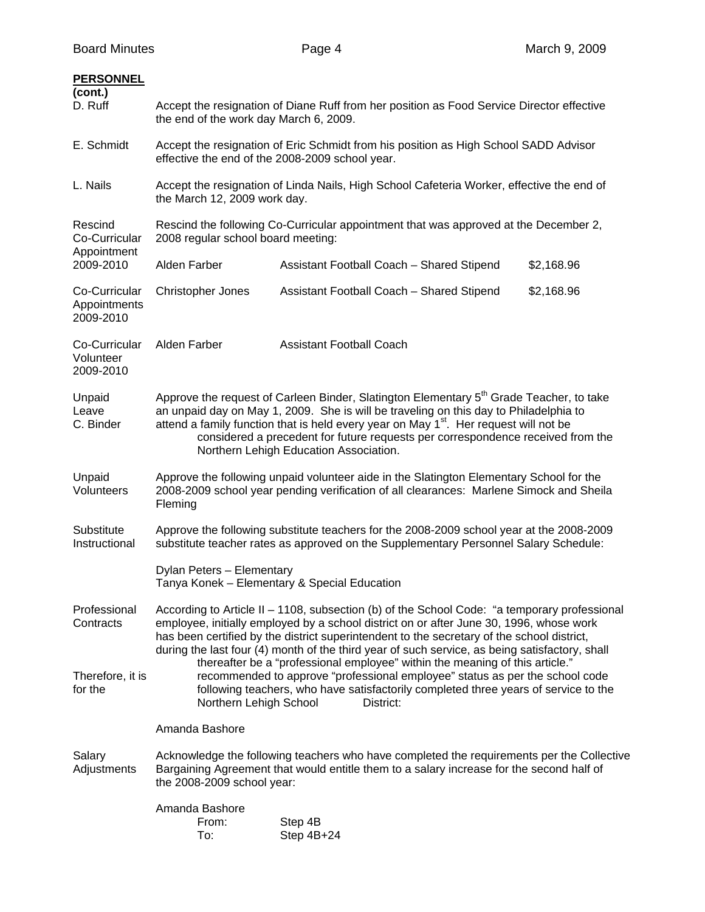| <b>PERSONNEL</b><br>(cont.)<br>D. Ruff     | Accept the resignation of Diane Ruff from her position as Food Service Director effective<br>the end of the work day March 6, 2009.                                                                                                                                                                                                                                                                                                                                     |                                              |            |
|--------------------------------------------|-------------------------------------------------------------------------------------------------------------------------------------------------------------------------------------------------------------------------------------------------------------------------------------------------------------------------------------------------------------------------------------------------------------------------------------------------------------------------|----------------------------------------------|------------|
| E. Schmidt                                 | Accept the resignation of Eric Schmidt from his position as High School SADD Advisor<br>effective the end of the 2008-2009 school year.                                                                                                                                                                                                                                                                                                                                 |                                              |            |
| L. Nails                                   | Accept the resignation of Linda Nails, High School Cafeteria Worker, effective the end of<br>the March 12, 2009 work day.                                                                                                                                                                                                                                                                                                                                               |                                              |            |
| Rescind<br>Co-Curricular<br>Appointment    | Rescind the following Co-Curricular appointment that was approved at the December 2,<br>2008 regular school board meeting:                                                                                                                                                                                                                                                                                                                                              |                                              |            |
| 2009-2010                                  | Alden Farber                                                                                                                                                                                                                                                                                                                                                                                                                                                            | Assistant Football Coach - Shared Stipend    | \$2,168.96 |
| Co-Curricular<br>Appointments<br>2009-2010 | Christopher Jones                                                                                                                                                                                                                                                                                                                                                                                                                                                       | Assistant Football Coach - Shared Stipend    | \$2,168.96 |
| Co-Curricular<br>Volunteer<br>2009-2010    | Alden Farber                                                                                                                                                                                                                                                                                                                                                                                                                                                            | <b>Assistant Football Coach</b>              |            |
| Unpaid<br>Leave<br>C. Binder               | Approve the request of Carleen Binder, Slatington Elementary 5 <sup>th</sup> Grade Teacher, to take<br>an unpaid day on May 1, 2009. She is will be traveling on this day to Philadelphia to<br>attend a family function that is held every year on May 1 <sup>st</sup> . Her request will not be<br>considered a precedent for future requests per correspondence received from the<br>Northern Lehigh Education Association.                                          |                                              |            |
| Unpaid<br>Volunteers                       | Approve the following unpaid volunteer aide in the Slatington Elementary School for the<br>2008-2009 school year pending verification of all clearances: Marlene Simock and Sheila<br>Fleming                                                                                                                                                                                                                                                                           |                                              |            |
| Substitute<br>Instructional                | Approve the following substitute teachers for the 2008-2009 school year at the 2008-2009<br>substitute teacher rates as approved on the Supplementary Personnel Salary Schedule:                                                                                                                                                                                                                                                                                        |                                              |            |
|                                            | Dylan Peters - Elementary                                                                                                                                                                                                                                                                                                                                                                                                                                               | Tanya Konek - Elementary & Special Education |            |
| Professional<br>Contracts                  | According to Article II - 1108, subsection (b) of the School Code: "a temporary professional<br>employee, initially employed by a school district on or after June 30, 1996, whose work<br>has been certified by the district superintendent to the secretary of the school district,<br>during the last four (4) month of the third year of such service, as being satisfactory, shall<br>thereafter be a "professional employee" within the meaning of this article." |                                              |            |
| Therefore, it is<br>for the                | recommended to approve "professional employee" status as per the school code<br>following teachers, who have satisfactorily completed three years of service to the<br>Northern Lehigh School<br>District:                                                                                                                                                                                                                                                              |                                              |            |
|                                            | Amanda Bashore                                                                                                                                                                                                                                                                                                                                                                                                                                                          |                                              |            |
| Salary<br>Adjustments                      | Acknowledge the following teachers who have completed the requirements per the Collective<br>Bargaining Agreement that would entitle them to a salary increase for the second half of<br>the 2008-2009 school year:                                                                                                                                                                                                                                                     |                                              |            |
|                                            | Amanda Bashore<br>From:<br>To:                                                                                                                                                                                                                                                                                                                                                                                                                                          | Step 4B<br>Step 4B+24                        |            |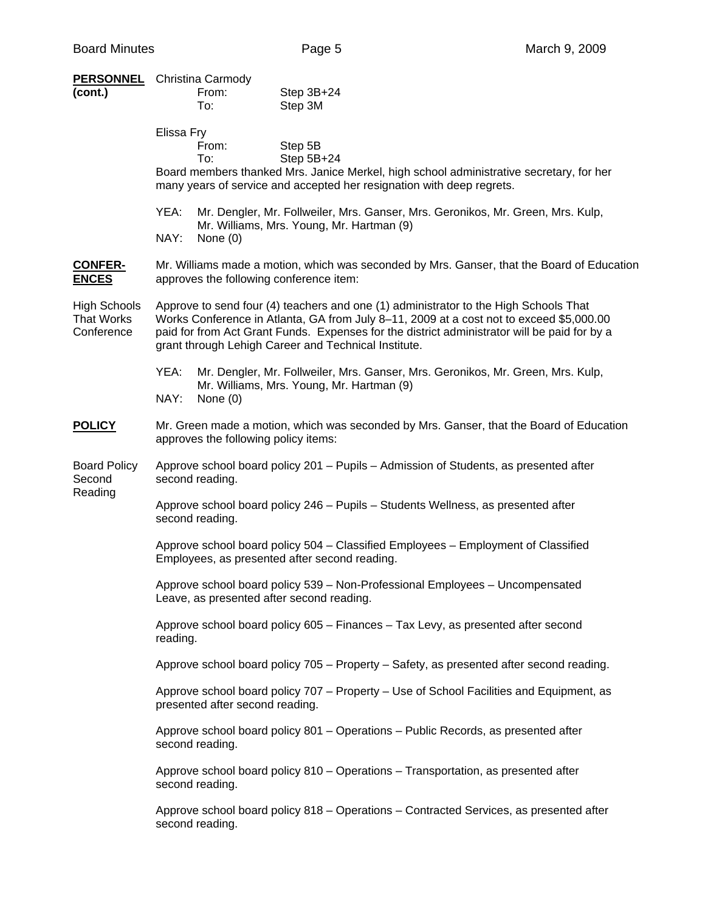|                                                        | <b>PERSONNEL</b> Christina Carmody                                                                                                                                                                                                                                                                                                      |  |  |  |
|--------------------------------------------------------|-----------------------------------------------------------------------------------------------------------------------------------------------------------------------------------------------------------------------------------------------------------------------------------------------------------------------------------------|--|--|--|
| (cont.)                                                | From:<br>Step 3B+24<br>Step 3M<br>To:                                                                                                                                                                                                                                                                                                   |  |  |  |
|                                                        | Elissa Fry<br>Step 5B<br>From:<br>Step 5B+24<br>To:<br>Board members thanked Mrs. Janice Merkel, high school administrative secretary, for her<br>many years of service and accepted her resignation with deep regrets.                                                                                                                 |  |  |  |
|                                                        | YEA:<br>Mr. Dengler, Mr. Follweiler, Mrs. Ganser, Mrs. Geronikos, Mr. Green, Mrs. Kulp,<br>Mr. Williams, Mrs. Young, Mr. Hartman (9)<br>NAY:<br>None $(0)$                                                                                                                                                                              |  |  |  |
| <b>CONFER-</b><br><b>ENCES</b>                         | Mr. Williams made a motion, which was seconded by Mrs. Ganser, that the Board of Education<br>approves the following conference item:                                                                                                                                                                                                   |  |  |  |
| <b>High Schools</b><br><b>That Works</b><br>Conference | Approve to send four (4) teachers and one (1) administrator to the High Schools That<br>Works Conference in Atlanta, GA from July 8-11, 2009 at a cost not to exceed \$5,000.00<br>paid for from Act Grant Funds. Expenses for the district administrator will be paid for by a<br>grant through Lehigh Career and Technical Institute. |  |  |  |
|                                                        | YEA:<br>Mr. Dengler, Mr. Follweiler, Mrs. Ganser, Mrs. Geronikos, Mr. Green, Mrs. Kulp,<br>Mr. Williams, Mrs. Young, Mr. Hartman (9)<br>NAY:<br>None $(0)$                                                                                                                                                                              |  |  |  |
| <b>POLICY</b>                                          | Mr. Green made a motion, which was seconded by Mrs. Ganser, that the Board of Education<br>approves the following policy items:                                                                                                                                                                                                         |  |  |  |
| <b>Board Policy</b><br>Second                          | Approve school board policy 201 – Pupils – Admission of Students, as presented after<br>second reading.                                                                                                                                                                                                                                 |  |  |  |
| Reading                                                | Approve school board policy 246 - Pupils - Students Wellness, as presented after<br>second reading.                                                                                                                                                                                                                                     |  |  |  |
|                                                        | Approve school board policy 504 - Classified Employees - Employment of Classified<br>Employees, as presented after second reading.                                                                                                                                                                                                      |  |  |  |
|                                                        | Approve school board policy 539 - Non-Professional Employees - Uncompensated<br>Leave, as presented after second reading.                                                                                                                                                                                                               |  |  |  |
|                                                        | Approve school board policy 605 - Finances - Tax Levy, as presented after second<br>reading.                                                                                                                                                                                                                                            |  |  |  |
|                                                        | Approve school board policy 705 - Property - Safety, as presented after second reading.                                                                                                                                                                                                                                                 |  |  |  |
|                                                        | Approve school board policy 707 – Property – Use of School Facilities and Equipment, as<br>presented after second reading.                                                                                                                                                                                                              |  |  |  |
|                                                        | Approve school board policy 801 - Operations - Public Records, as presented after<br>second reading.                                                                                                                                                                                                                                    |  |  |  |
|                                                        | Approve school board policy 810 – Operations – Transportation, as presented after<br>second reading.                                                                                                                                                                                                                                    |  |  |  |
|                                                        | Approve school board policy 818 – Operations – Contracted Services, as presented after<br>second reading.                                                                                                                                                                                                                               |  |  |  |
|                                                        |                                                                                                                                                                                                                                                                                                                                         |  |  |  |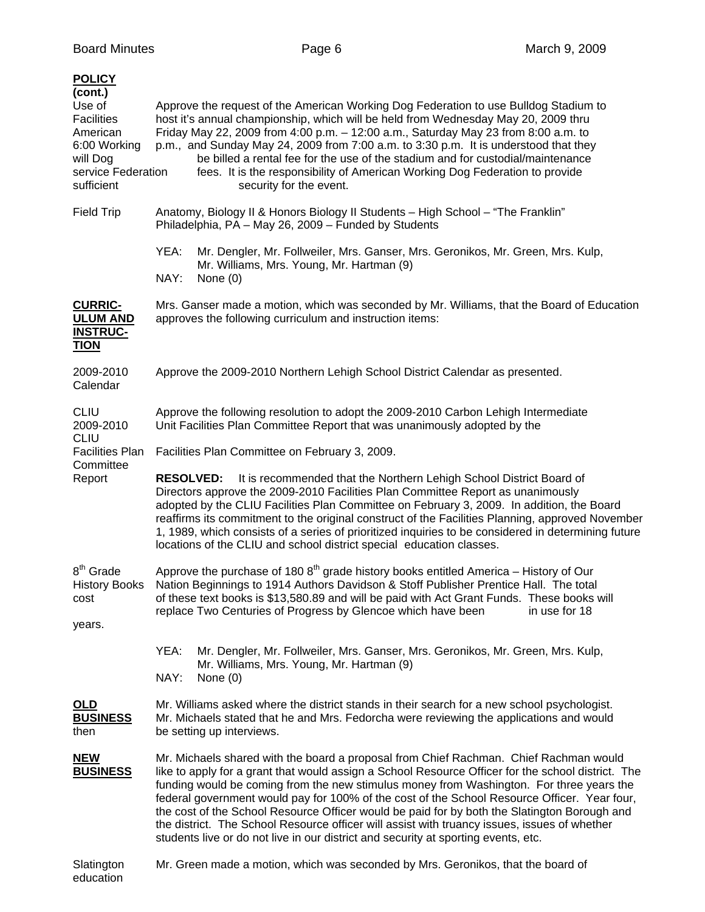| <b>POLICY</b><br>(cont.)<br>Use of<br><b>Facilities</b><br>American<br>6:00 Working<br>will Dog<br>service Federation<br>sufficient | Approve the request of the American Working Dog Federation to use Bulldog Stadium to<br>host it's annual championship, which will be held from Wednesday May 20, 2009 thru<br>Friday May 22, 2009 from 4:00 p.m. - 12:00 a.m., Saturday May 23 from 8:00 a.m. to<br>p.m., and Sunday May 24, 2009 from 7:00 a.m. to 3:30 p.m. It is understood that they<br>be billed a rental fee for the use of the stadium and for custodial/maintenance<br>fees. It is the responsibility of American Working Dog Federation to provide<br>security for the event.                                                                                                                        |  |  |  |
|-------------------------------------------------------------------------------------------------------------------------------------|-------------------------------------------------------------------------------------------------------------------------------------------------------------------------------------------------------------------------------------------------------------------------------------------------------------------------------------------------------------------------------------------------------------------------------------------------------------------------------------------------------------------------------------------------------------------------------------------------------------------------------------------------------------------------------|--|--|--|
| <b>Field Trip</b>                                                                                                                   | Anatomy, Biology II & Honors Biology II Students - High School - "The Franklin"<br>Philadelphia, PA - May 26, 2009 - Funded by Students                                                                                                                                                                                                                                                                                                                                                                                                                                                                                                                                       |  |  |  |
|                                                                                                                                     | YEA:<br>Mr. Dengler, Mr. Follweiler, Mrs. Ganser, Mrs. Geronikos, Mr. Green, Mrs. Kulp,<br>Mr. Williams, Mrs. Young, Mr. Hartman (9)<br>NAY:<br>None $(0)$                                                                                                                                                                                                                                                                                                                                                                                                                                                                                                                    |  |  |  |
| <b>CURRIC-</b><br><b>ULUM AND</b><br><b>INSTRUC-</b><br><b>TION</b>                                                                 | Mrs. Ganser made a motion, which was seconded by Mr. Williams, that the Board of Education<br>approves the following curriculum and instruction items:                                                                                                                                                                                                                                                                                                                                                                                                                                                                                                                        |  |  |  |
| 2009-2010<br>Calendar                                                                                                               | Approve the 2009-2010 Northern Lehigh School District Calendar as presented.                                                                                                                                                                                                                                                                                                                                                                                                                                                                                                                                                                                                  |  |  |  |
| <b>CLIU</b><br>2009-2010                                                                                                            | Approve the following resolution to adopt the 2009-2010 Carbon Lehigh Intermediate<br>Unit Facilities Plan Committee Report that was unanimously adopted by the                                                                                                                                                                                                                                                                                                                                                                                                                                                                                                               |  |  |  |
| <b>CLIU</b><br><b>Facilities Plan</b>                                                                                               | Facilities Plan Committee on February 3, 2009.                                                                                                                                                                                                                                                                                                                                                                                                                                                                                                                                                                                                                                |  |  |  |
| Committee<br>Report                                                                                                                 | <b>RESOLVED:</b><br>It is recommended that the Northern Lehigh School District Board of<br>Directors approve the 2009-2010 Facilities Plan Committee Report as unanimously<br>adopted by the CLIU Facilities Plan Committee on February 3, 2009. In addition, the Board<br>reaffirms its commitment to the original construct of the Facilities Planning, approved November<br>1, 1989, which consists of a series of prioritized inquiries to be considered in determining future<br>locations of the CLIU and school district special education classes.                                                                                                                    |  |  |  |
| 8 <sup>th</sup> Grade<br><b>History Books</b><br>cost<br>years.                                                                     | Approve the purchase of 180 $8th$ grade history books entitled America – History of Our<br>Nation Beginnings to 1914 Authors Davidson & Stoff Publisher Prentice Hall. The total<br>of these text books is \$13,580.89 and will be paid with Act Grant Funds. These books will<br>replace Two Centuries of Progress by Glencoe which have been<br>in use for 18                                                                                                                                                                                                                                                                                                               |  |  |  |
|                                                                                                                                     | YEA:<br>Mr. Dengler, Mr. Follweiler, Mrs. Ganser, Mrs. Geronikos, Mr. Green, Mrs. Kulp,<br>Mr. Williams, Mrs. Young, Mr. Hartman (9)<br>NAY:<br>None $(0)$                                                                                                                                                                                                                                                                                                                                                                                                                                                                                                                    |  |  |  |
| <u>OLD</u><br><b>BUSINESS</b><br>then                                                                                               | Mr. Williams asked where the district stands in their search for a new school psychologist.<br>Mr. Michaels stated that he and Mrs. Fedorcha were reviewing the applications and would<br>be setting up interviews.                                                                                                                                                                                                                                                                                                                                                                                                                                                           |  |  |  |
| <b>NEW</b><br><b>BUSINESS</b>                                                                                                       | Mr. Michaels shared with the board a proposal from Chief Rachman. Chief Rachman would<br>like to apply for a grant that would assign a School Resource Officer for the school district. The<br>funding would be coming from the new stimulus money from Washington. For three years the<br>federal government would pay for 100% of the cost of the School Resource Officer. Year four,<br>the cost of the School Resource Officer would be paid for by both the Slatington Borough and<br>the district. The School Resource officer will assist with truancy issues, issues of whether<br>students live or do not live in our district and security at sporting events, etc. |  |  |  |
| Slatington<br>education                                                                                                             | Mr. Green made a motion, which was seconded by Mrs. Geronikos, that the board of                                                                                                                                                                                                                                                                                                                                                                                                                                                                                                                                                                                              |  |  |  |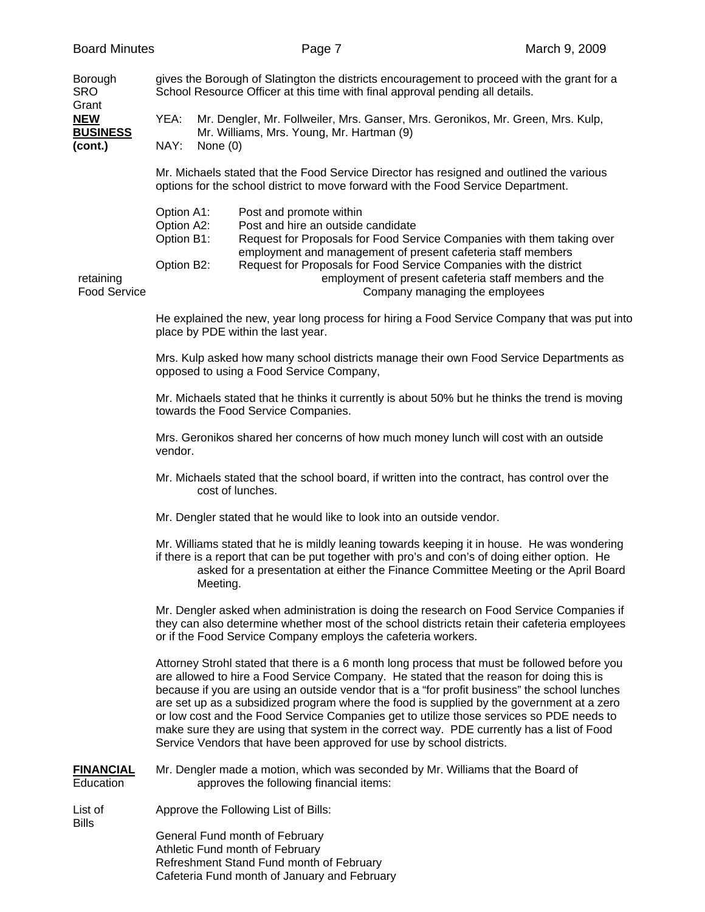| Borough<br>SRO<br>Grant<br><b>NEW</b><br><b>BUSINESS</b><br>(cont.) | gives the Borough of Slatington the districts encouragement to proceed with the grant for a<br>School Resource Officer at this time with final approval pending all details.  |            |                                                                                                                                                                                                                               |  |
|---------------------------------------------------------------------|-------------------------------------------------------------------------------------------------------------------------------------------------------------------------------|------------|-------------------------------------------------------------------------------------------------------------------------------------------------------------------------------------------------------------------------------|--|
|                                                                     | YEA:                                                                                                                                                                          |            | Mr. Dengler, Mr. Follweiler, Mrs. Ganser, Mrs. Geronikos, Mr. Green, Mrs. Kulp,<br>Mr. Williams, Mrs. Young, Mr. Hartman (9)                                                                                                  |  |
|                                                                     | NAY:                                                                                                                                                                          | None $(0)$ |                                                                                                                                                                                                                               |  |
|                                                                     | Mr. Michaels stated that the Food Service Director has resigned and outlined the various<br>options for the school district to move forward with the Food Service Department. |            |                                                                                                                                                                                                                               |  |
|                                                                     | Option A1:<br>Option A2:<br>Option B1:                                                                                                                                        |            | Post and promote within<br>Post and hire an outside candidate<br>Request for Proposals for Food Service Companies with them taking over                                                                                       |  |
| retaining<br><b>Food Service</b>                                    | Option B2:                                                                                                                                                                    |            | employment and management of present cafeteria staff members<br>Request for Proposals for Food Service Companies with the district<br>employment of present cafeteria staff members and the<br>Company managing the employees |  |
|                                                                     | He explained the new, year long process for hiring a Food Service Company that was put into<br>place by PDE within the last year.                                             |            |                                                                                                                                                                                                                               |  |
|                                                                     | Mrs. Kulp asked how many school districts manage their own Food Service Departments as<br>opposed to using a Food Service Company,                                            |            |                                                                                                                                                                                                                               |  |
|                                                                     | Mr. Michaels stated that he thinks it currently is about 50% but he thinks the trend is moving<br>towards the Food Service Companies.                                         |            |                                                                                                                                                                                                                               |  |
|                                                                     | Mrs. Geronikos shared her concerns of how much money lunch will cost with an outside<br>vendor.                                                                               |            |                                                                                                                                                                                                                               |  |
|                                                                     | Mr. Michaels stated that the school board, if written into the contract, has control over the<br>cost of lunches.                                                             |            |                                                                                                                                                                                                                               |  |
|                                                                     |                                                                                                                                                                               |            | Mr. Dengler stated that he would like to look into an outside vendor.                                                                                                                                                         |  |

 Mr. Williams stated that he is mildly leaning towards keeping it in house. He was wondering if there is a report that can be put together with pro's and con's of doing either option. He asked for a presentation at either the Finance Committee Meeting or the April Board Meeting.

 Mr. Dengler asked when administration is doing the research on Food Service Companies if they can also determine whether most of the school districts retain their cafeteria employees or if the Food Service Company employs the cafeteria workers.

 Attorney Strohl stated that there is a 6 month long process that must be followed before you are allowed to hire a Food Service Company. He stated that the reason for doing this is because if you are using an outside vendor that is a "for profit business" the school lunches are set up as a subsidized program where the food is supplied by the government at a zero or low cost and the Food Service Companies get to utilize those services so PDE needs to make sure they are using that system in the correct way. PDE currently has a list of Food Service Vendors that have been approved for use by school districts.

**FINANCIAL** Mr. Dengler made a motion, which was seconded by Mr. Williams that the Board of Education approves the following financial items:

List of **Approve the Following List of Bills:** Bills

> General Fund month of February Athletic Fund month of February Refreshment Stand Fund month of February Cafeteria Fund month of January and February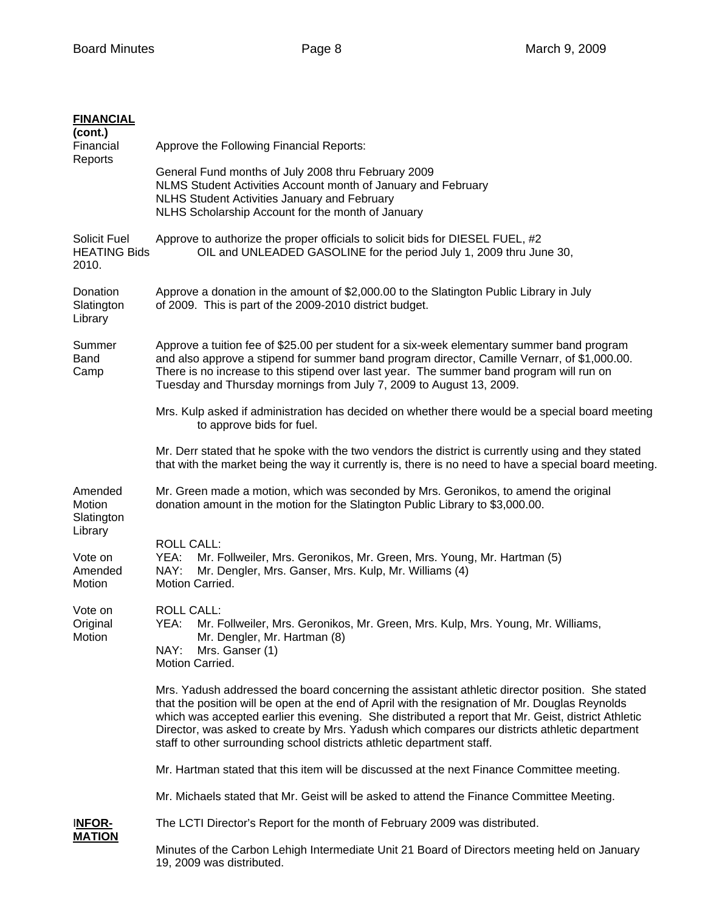| <b>FINANCIAL</b><br>(cont.)<br>Financial<br>Reports | Approve the Following Financial Reports:                                                                                                                                                                                                                                                                                                                                                                                                                                             |  |  |  |
|-----------------------------------------------------|--------------------------------------------------------------------------------------------------------------------------------------------------------------------------------------------------------------------------------------------------------------------------------------------------------------------------------------------------------------------------------------------------------------------------------------------------------------------------------------|--|--|--|
|                                                     | General Fund months of July 2008 thru February 2009<br>NLMS Student Activities Account month of January and February<br>NLHS Student Activities January and February<br>NLHS Scholarship Account for the month of January                                                                                                                                                                                                                                                            |  |  |  |
| Solicit Fuel<br><b>HEATING Bids</b><br>2010.        | Approve to authorize the proper officials to solicit bids for DIESEL FUEL, #2<br>OIL and UNLEADED GASOLINE for the period July 1, 2009 thru June 30,                                                                                                                                                                                                                                                                                                                                 |  |  |  |
| Donation<br>Slatington<br>Library                   | Approve a donation in the amount of \$2,000.00 to the Slatington Public Library in July<br>of 2009. This is part of the 2009-2010 district budget.                                                                                                                                                                                                                                                                                                                                   |  |  |  |
| Summer<br><b>Band</b><br>Camp                       | Approve a tuition fee of \$25.00 per student for a six-week elementary summer band program<br>and also approve a stipend for summer band program director, Camille Vernarr, of \$1,000.00.<br>There is no increase to this stipend over last year. The summer band program will run on<br>Tuesday and Thursday mornings from July 7, 2009 to August 13, 2009.                                                                                                                        |  |  |  |
|                                                     | Mrs. Kulp asked if administration has decided on whether there would be a special board meeting<br>to approve bids for fuel.                                                                                                                                                                                                                                                                                                                                                         |  |  |  |
|                                                     | Mr. Derr stated that he spoke with the two vendors the district is currently using and they stated<br>that with the market being the way it currently is, there is no need to have a special board meeting.                                                                                                                                                                                                                                                                          |  |  |  |
| Amended<br>Motion<br>Slatington                     | Mr. Green made a motion, which was seconded by Mrs. Geronikos, to amend the original<br>donation amount in the motion for the Slatington Public Library to \$3,000.00.                                                                                                                                                                                                                                                                                                               |  |  |  |
| Library<br>Vote on<br>Amended<br>Motion             | <b>ROLL CALL:</b><br>YEA:<br>Mr. Follweiler, Mrs. Geronikos, Mr. Green, Mrs. Young, Mr. Hartman (5)<br>Mr. Dengler, Mrs. Ganser, Mrs. Kulp, Mr. Williams (4)<br>NAY:<br>Motion Carried.                                                                                                                                                                                                                                                                                              |  |  |  |
| Vote on<br>Original<br>Motion                       | <b>ROLL CALL:</b><br>YEA: Mr. Follweiler, Mrs. Geronikos, Mr. Green, Mrs. Kulp, Mrs. Young, Mr. Williams,<br>Mr. Dengler, Mr. Hartman (8)<br>NAY:<br>Mrs. Ganser (1)<br>Motion Carried.                                                                                                                                                                                                                                                                                              |  |  |  |
|                                                     | Mrs. Yadush addressed the board concerning the assistant athletic director position. She stated<br>that the position will be open at the end of April with the resignation of Mr. Douglas Reynolds<br>which was accepted earlier this evening. She distributed a report that Mr. Geist, district Athletic<br>Director, was asked to create by Mrs. Yadush which compares our districts athletic department<br>staff to other surrounding school districts athletic department staff. |  |  |  |
|                                                     | Mr. Hartman stated that this item will be discussed at the next Finance Committee meeting.                                                                                                                                                                                                                                                                                                                                                                                           |  |  |  |
|                                                     | Mr. Michaels stated that Mr. Geist will be asked to attend the Finance Committee Meeting.                                                                                                                                                                                                                                                                                                                                                                                            |  |  |  |
| <b>INFOR-</b><br><b>MATION</b>                      | The LCTI Director's Report for the month of February 2009 was distributed.                                                                                                                                                                                                                                                                                                                                                                                                           |  |  |  |
|                                                     | Minutes of the Carbon Lehigh Intermediate Unit 21 Board of Directors meeting held on January<br>19, 2009 was distributed.                                                                                                                                                                                                                                                                                                                                                            |  |  |  |